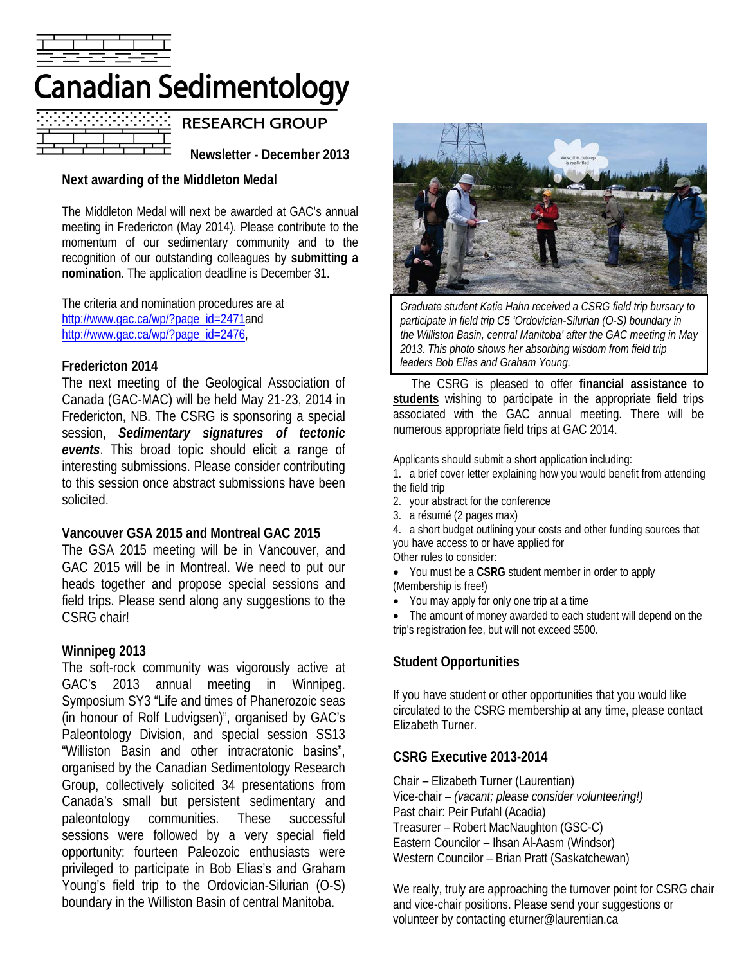

# **Canadian Sedimentology**

|   |  |   |  |  |  |   |                          |                          |   |   | ۰ |   |                          |  |   |  |  |  |
|---|--|---|--|--|--|---|--------------------------|--------------------------|---|---|---|---|--------------------------|--|---|--|--|--|
| - |  | - |  |  |  | - | $\overline{\phantom{a}}$ | $\overline{\phantom{0}}$ | - | ٠ | - | - | $\overline{\phantom{0}}$ |  | - |  |  |  |
|   |  |   |  |  |  |   |                          |                          |   |   |   |   |                          |  |   |  |  |  |
|   |  |   |  |  |  |   |                          |                          |   |   |   |   |                          |  |   |  |  |  |
|   |  |   |  |  |  |   |                          |                          |   |   |   |   |                          |  |   |  |  |  |
|   |  |   |  |  |  |   |                          |                          |   |   |   |   |                          |  |   |  |  |  |
|   |  |   |  |  |  |   |                          |                          |   |   |   |   |                          |  |   |  |  |  |

**RESEARCH GROUP** 

**Newsletter - December 2013**

#### **Next awarding of the Middleton Medal**

The Middleton Medal will next be awarded at GAC's annual meeting in Fredericton (May 2014). Please contribute to the momentum of our sedimentary community and to the recognition of our outstanding colleagues by **submitting a nomination**. The application deadline is December 31.

The criteria and nomination procedures are at [http://www.gac.ca/wp/?page\\_id=2471a](http://www.gac.ca/wp/?page_id=2471)nd [http://www.gac.ca/wp/?page\\_id=2476,](http://www.gac.ca/wp/?page_id=2476)

#### **Fredericton 2014**

The next meeting of the Geological Association of Canada (GAC-MAC) will be held May 21-23, 2014 in Fredericton, NB. The CSRG is sponsoring a special session, *Sedimentary signatures of tectonic events*. This broad topic should elicit a range of interesting submissions. Please consider contributing to this session once abstract submissions have been solicited.

#### **Vancouver GSA 2015 and Montreal GAC 2015**

The GSA 2015 meeting will be in Vancouver, and GAC 2015 will be in Montreal. We need to put our heads together and propose special sessions and field trips. Please send along any suggestions to the CSRG chair!

#### **Winnipeg 2013**

The soft-rock community was vigorously active at GAC's 2013 annual meeting in Winnipeg. Symposium SY3 "Life and times of Phanerozoic seas (in honour of Rolf Ludvigsen)", organised by GAC's Paleontology Division, and special session SS13 "Williston Basin and other intracratonic basins", organised by the Canadian Sedimentology Research Group, collectively solicited 34 presentations from Canada's small but persistent sedimentary and paleontology communities. These successful sessions were followed by a very special field opportunity: fourteen Paleozoic enthusiasts were privileged to participate in Bob Elias's and Graham Young's field trip to the Ordovician-Silurian (O-S) boundary in the Williston Basin of central Manitoba.



**Fredericton 2014** *the Williston Basin, central Manitoba' after the GAC meeting in May Graduate student Katie Hahn received a CSRG field trip bursary to participate in field trip C5 'Ordovician-Silurian (O-S) boundary in 2013. This photo shows her absorbing wisdom from field trip leaders Bob Elias and Graham Young.*

 The CSRG is pleased to offer **financial assistance to students** wishing to participate in the appropriate field trips associated with the GAC annual meeting. There will be numerous appropriate field trips at GAC 2014.

Applicants should submit a short application including:

- 1. a brief cover letter explaining how you would benefit from attending the field trip
- 2. your abstract for the conference
- 3. a résumé (2 pages max)
- 4. a short budget outlining your costs and other funding sources that you have access to or have applied for
- Other rules to consider:
- You must be a **CSRG** student member in order to apply (Membership is free!)
- You may apply for only one trip at a time

The amount of money awarded to each student will depend on the trip's registration fee, but will not exceed \$500.

### **Student Opportunities**

If you have student or other opportunities that you would like circulated to the CSRG membership at any time, please contact Elizabeth Turner.

#### **CSRG Executive 2013-2014**

Chair – Elizabeth Turner (Laurentian) Vice-chair – *(vacant; please consider volunteering!)* Past chair: Peir Pufahl (Acadia) Treasurer – Robert MacNaughton (GSC-C) Eastern Councilor – Ihsan Al-Aasm (Windsor) Western Councilor – Brian Pratt (Saskatchewan)

We really, truly are approaching the turnover point for CSRG chair and vice-chair positions. Please send your suggestions or volunteer by contacting eturner@laurentian.ca